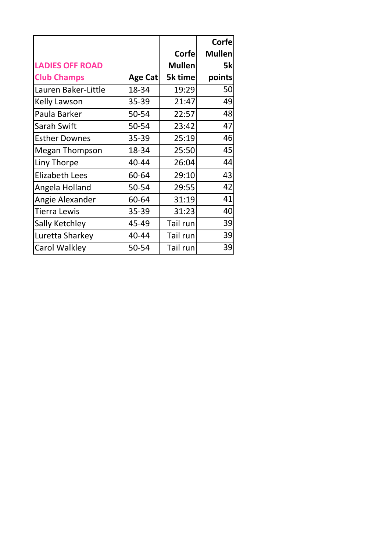|                        |         |               | <b>Corfe</b>  |
|------------------------|---------|---------------|---------------|
|                        |         | Corfe         | <b>Mullen</b> |
| <b>LADIES OFF ROAD</b> |         | <b>Mullen</b> | 5k            |
| <b>Club Champs</b>     | Age Cat | 5k time       | points        |
| Lauren Baker-Little    | 18-34   | 19:29         | 50            |
| <b>Kelly Lawson</b>    | 35-39   | 21:47         | 49            |
| Paula Barker           | 50-54   | 22:57         | 48            |
| Sarah Swift            | 50-54   | 23:42         | 47            |
| <b>Esther Downes</b>   | 35-39   | 25:19         | 46            |
| <b>Megan Thompson</b>  | 18-34   | 25:50         | 45            |
| Liny Thorpe            | 40-44   | 26:04         | 44            |
| <b>Elizabeth Lees</b>  | 60-64   | 29:10         | 43            |
| Angela Holland         | 50-54   | 29:55         | 42            |
| Angie Alexander        | 60-64   | 31:19         | 41            |
| <b>Tierra Lewis</b>    | 35-39   | 31:23         | 40            |
| Sally Ketchley         | 45-49   | Tail run      | 39            |
| Luretta Sharkey        | 40-44   | Tail run      | 39            |
| Carol Walkley          | 50-54   | Tail run      | 39            |